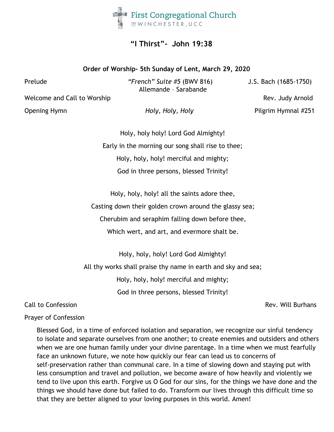

## **"I Thirst"- John 19:38**

## **Order of Worship- 5th Sunday of Lent, March 29, 2020**

Prelude *"French" Suite #5* (BWV 816) J.S. Bach (1685-1750) Allemande – Sarabande

Welcome and Call to Worship Rev. Judy Arnold Rev. Judy Arnold

Opening Hymn *Holy, Holy, Holy* Pilgrim Hymnal #251

Holy, holy holy! Lord God Almighty! Early in the morning our song shall rise to thee; Holy, holy, holy! merciful and mighty; God in three persons, blessed Trinity!

Holy, holy, holy! all the saints adore thee,

Casting down their golden crown around the glassy sea;

Cherubim and seraphim falling down before thee,

Which wert, and art, and evermore shalt be.

Holy, holy, holy! Lord God Almighty! All thy works shall praise thy name in earth and sky and sea; Holy, holy, holy! merciful and mighty; God in three persons, blessed Trinity!

Call to Confession Rev. Will Burhans

## Prayer of Confession

Blessed God, in a time of enforced isolation and separation, we recognize our sinful tendency to isolate and separate ourselves from one another; to create enemies and outsiders and others when we are one human family under your divine parentage. In a time when we must fearfully face an unknown future, we note how quickly our fear can lead us to concerns of self-preservation rather than communal care. In a time of slowing down and staying put with less consumption and travel and pollution, we become aware of how heavily and violently we tend to live upon this earth. Forgive us O God for our sins, for the things we have done and the things we should have done but failed to do. Transform our lives through this difficult time so that they are better aligned to your loving purposes in this world. Amen!